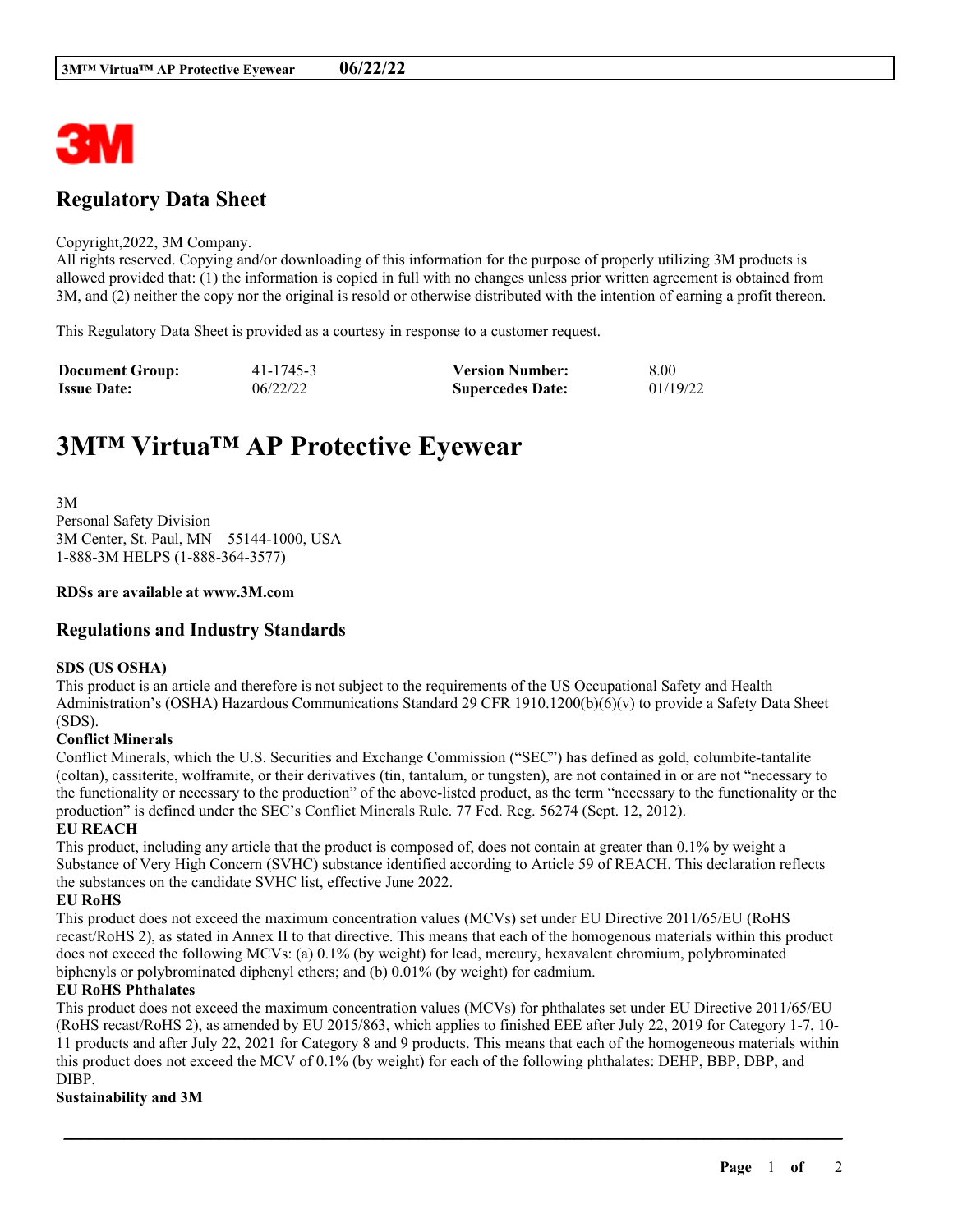

## **Regulatory Data Sheet**

#### Copyright,2022, 3M Company.

All rights reserved. Copying and/or downloading of this information for the purpose of properly utilizing 3M products is allowed provided that: (1) the information is copied in full with no changes unless prior written agreement is obtained from 3M, and (2) neither the copy nor the original is resold or otherwise distributed with the intention of earning a profit thereon.

This Regulatory Data Sheet is provided as a courtesy in response to a customer request.

| <b>Document Group:</b> | 41-1745-3 | <b>Version Number:</b>  | 8.00     |
|------------------------|-----------|-------------------------|----------|
| <b>Issue Date:</b>     | 06/22/22  | <b>Supercedes Date:</b> | 01/19/22 |

# **3M™ Virtua™ AP Protective Eyewear**

3M Personal Safety Division 3M Center, St. Paul, MN 55144-1000, USA 1-888-3M HELPS (1-888-364-3577)

#### **RDSs are available at www.3M.com**

#### **Regulations and Industry Standards**

#### **SDS (US OSHA)**

This product is an article and therefore is not subject to the requirements of the US Occupational Safety and Health Administration's (OSHA) Hazardous Communications Standard 29 CFR 1910.1200(b)(6)(v) to provide a Safety Data Sheet (SDS).

#### **Conflict Minerals**

Conflict Minerals, which the U.S. Securities and Exchange Commission ("SEC") has defined as gold, columbite-tantalite (coltan), cassiterite, wolframite, or their derivatives (tin, tantalum, or tungsten), are not contained in or are not "necessary to the functionality or necessary to the production" of the above-listed product, as the term "necessary to the functionality or the production" is defined under the SEC's Conflict Minerals Rule. 77 Fed. Reg. 56274 (Sept. 12, 2012).

#### **EU REACH**

This product, including any article that the product is composed of, does not contain at greater than 0.1% by weight a Substance of Very High Concern (SVHC) substance identified according to Article 59 of REACH. This declaration reflects the substances on the candidate SVHC list, effective June 2022.

#### **EU RoHS**

This product does not exceed the maximum concentration values (MCVs) set under EU Directive 2011/65/EU (RoHS recast/RoHS 2), as stated in Annex II to that directive. This means that each of the homogenous materials within this product does not exceed the following MCVs: (a) 0.1% (by weight) for lead, mercury, hexavalent chromium, polybrominated biphenyls or polybrominated diphenyl ethers; and (b) 0.01% (by weight) for cadmium.

#### **EU RoHS Phthalates**

This product does not exceed the maximum concentration values (MCVs) for phthalates set under EU Directive 2011/65/EU (RoHS recast/RoHS 2), as amended by EU 2015/863, which applies to finished EEE after July 22, 2019 for Category 1-7, 10- 11 products and after July 22, 2021 for Category 8 and 9 products. This means that each of the homogeneous materials within this product does not exceed the MCV of 0.1% (by weight) for each of the following phthalates: DEHP, BBP, DBP, and DIBP.

\_\_\_\_\_\_\_\_\_\_\_\_\_\_\_\_\_\_\_\_\_\_\_\_\_\_\_\_\_\_\_\_\_\_\_\_\_\_\_\_\_\_\_\_\_\_\_\_\_\_\_\_\_\_\_\_\_\_\_\_\_\_\_\_\_\_\_\_\_\_\_\_\_\_\_\_\_\_\_\_\_\_\_\_\_\_\_\_\_\_

#### **Sustainability and 3M**